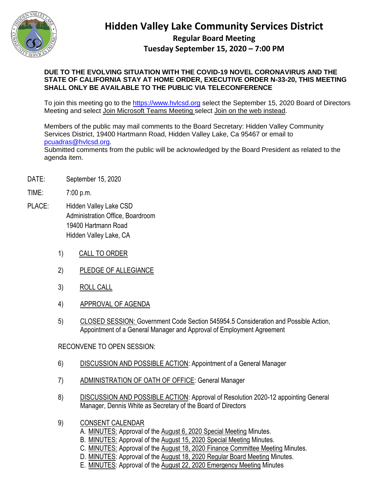

## **Hidden Valley Lake Community Services District**

## **Regular Board Meeting Tuesday September 15, 2020 – 7:00 PM**

## **DUE TO THE EVOLVING SITUATION WITH THE COVID-19 NOVEL CORONAVIRUS AND THE STATE OF CALIFORNIA STAY AT HOME ORDER, EXECUTIVE ORDER N-33-20, THIS MEETING SHALL ONLY BE AVAILABLE TO THE PUBLIC VIA TELECONFERENCE**

To join this meeting go to the [https://www.hvlcsd.org](https://www.hvlcsd.org/) select the September 15, 2020 Board of Directors Meeting and select Join Microsoft Teams Meeting select Join on the web instead.

Members of the public may mail comments to the Board Secretary: Hidden Valley Community Services District, 19400 Hartmann Road, Hidden Valley Lake, Ca 95467 or email to [pcuadras@hvlcsd.org.](mailto:pcuadras@hvlcsd.org) Submitted comments from the public will be acknowledged by the Board President as related to the agenda item.

- DATE: September 15, 2020
- TIME: 7:00 p.m.
- PLACE: Hidden Valley Lake CSD Administration Office, Boardroom 19400 Hartmann Road Hidden Valley Lake, CA
	- 1) CALL TO ORDER
	- 2) PLEDGE OF ALLEGIANCE
	- 3) ROLL CALL
	- 4) APPROVAL OF AGENDA
	- 5) CLOSED SESSION: Government Code Section 545954.5 Consideration and Possible Action, Appointment of a General Manager and Approval of Employment Agreement

RECONVENE TO OPEN SESSION:

- 6) DISCUSSION AND POSSIBLE ACTION: Appointment of a General Manager
- 7) ADMINISTRATION OF OATH OF OFFICE: General Manager
- 8) DISCUSSION AND POSSIBLE ACTION: Approval of Resolution 2020-12 appointing General Manager, Dennis White as Secretary of the Board of Directors
- 9) CONSENT CALENDAR
	- A. MINUTES: Approval of the August 6, 2020 Special Meeting Minutes.
	- B. MINUTES: Approval of the August 15, 2020 Special Meeting Minutes.
	- C. MINUTES: Approval of the August 18, 2020 Finance Committee Meeting Minutes.
	- D. MINUTES: Approval of the August 18, 2020 Regular Board Meeting Minutes.
	- E. MINUTES: Approval of the August 22, 2020 Emergency Meeting Minutes